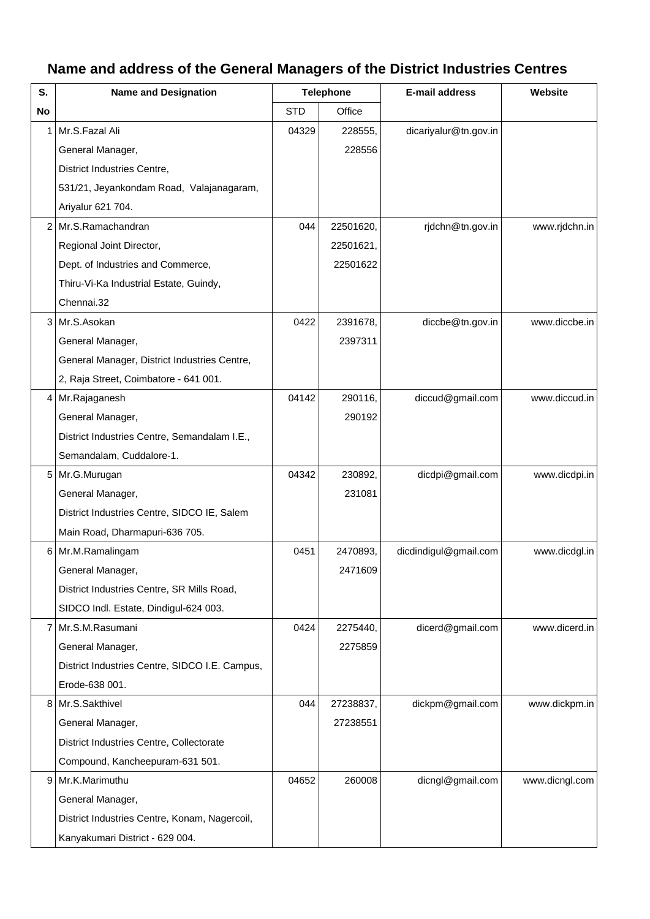## **Name and address of the General Managers of the District Industries Centres**

| S. | <b>Name and Designation</b>                    | <b>Telephone</b> |           | <b>E-mail address</b> | Website        |
|----|------------------------------------------------|------------------|-----------|-----------------------|----------------|
| No |                                                | <b>STD</b>       | Office    |                       |                |
| 1  | Mr.S.Fazal Ali                                 | 04329            | 228555,   | dicariyalur@tn.gov.in |                |
|    | General Manager,                               |                  | 228556    |                       |                |
|    | District Industries Centre,                    |                  |           |                       |                |
|    | 531/21, Jeyankondam Road, Valajanagaram,       |                  |           |                       |                |
|    | Ariyalur 621 704.                              |                  |           |                       |                |
| 2  | Mr.S.Ramachandran                              | 044              | 22501620, | rjdchn@tn.gov.in      | www.rjdchn.in  |
|    | Regional Joint Director,                       |                  | 22501621, |                       |                |
|    | Dept. of Industries and Commerce,              |                  | 22501622  |                       |                |
|    | Thiru-Vi-Ka Industrial Estate, Guindy,         |                  |           |                       |                |
|    | Chennai.32                                     |                  |           |                       |                |
| 3  | Mr.S.Asokan                                    | 0422             | 2391678,  | diccbe@tn.gov.in      | www.diccbe.in  |
|    | General Manager,                               |                  | 2397311   |                       |                |
|    | General Manager, District Industries Centre,   |                  |           |                       |                |
|    | 2, Raja Street, Coimbatore - 641 001.          |                  |           |                       |                |
| 4  | Mr.Rajaganesh                                  | 04142            | 290116,   | diccud@gmail.com      | www.diccud.in  |
|    | General Manager,                               |                  | 290192    |                       |                |
|    | District Industries Centre, Semandalam I.E.,   |                  |           |                       |                |
|    | Semandalam, Cuddalore-1.                       |                  |           |                       |                |
| 5  | Mr.G.Murugan                                   | 04342            | 230892,   | dicdpi@gmail.com      | www.dicdpi.in  |
|    | General Manager,                               |                  | 231081    |                       |                |
|    | District Industries Centre, SIDCO IE, Salem    |                  |           |                       |                |
|    | Main Road, Dharmapuri-636 705.                 |                  |           |                       |                |
| 6  | Mr.M.Ramalingam                                | 0451             | 2470893.  | dicdindigul@gmail.com | www.dicdgl.in  |
|    | General Manager,                               |                  | 2471609   |                       |                |
|    | District Industries Centre, SR Mills Road,     |                  |           |                       |                |
|    | SIDCO Indl. Estate, Dindigul-624 003.          |                  |           |                       |                |
| 7  | Mr.S.M.Rasumani                                | 0424             | 2275440,  | dicerd@gmail.com      | www.dicerd.in  |
|    | General Manager,                               |                  | 2275859   |                       |                |
|    | District Industries Centre, SIDCO I.E. Campus, |                  |           |                       |                |
|    | Erode-638 001.                                 |                  |           |                       |                |
| 8  | Mr.S.Sakthivel                                 | 044              | 27238837, | dickpm@gmail.com      | www.dickpm.in  |
|    | General Manager,                               |                  | 27238551  |                       |                |
|    | District Industries Centre, Collectorate       |                  |           |                       |                |
|    | Compound, Kancheepuram-631 501.                |                  |           |                       |                |
| 9  | Mr.K.Marimuthu                                 | 04652            | 260008    | dicngl@gmail.com      | www.dicngl.com |
|    | General Manager,                               |                  |           |                       |                |
|    | District Industries Centre, Konam, Nagercoil,  |                  |           |                       |                |
|    | Kanyakumari District - 629 004.                |                  |           |                       |                |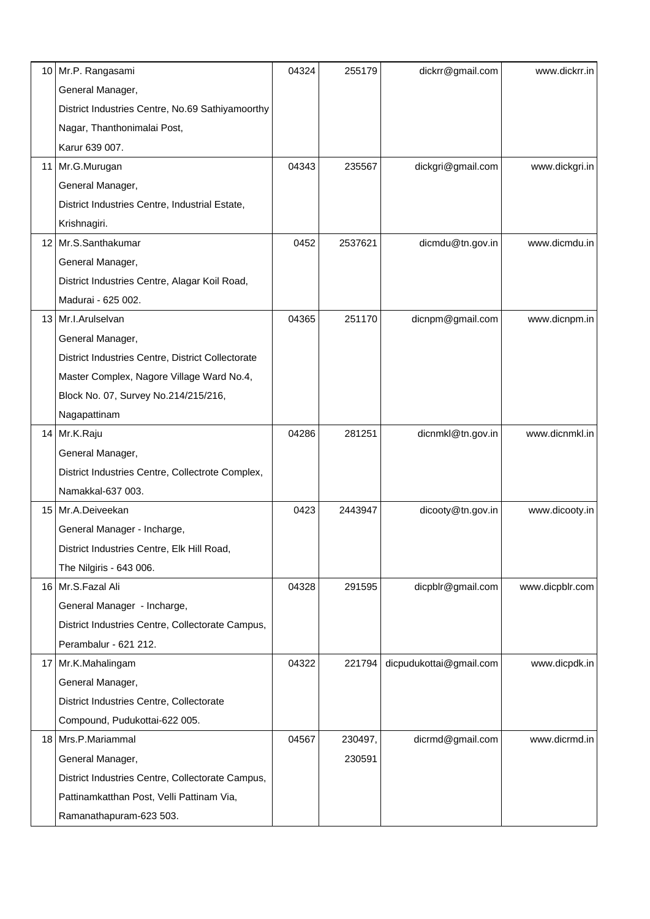| 10              | Mr.P. Rangasami                                   | 04324 | 255179  | dickrr@gmail.com        | www.dickrr.in   |
|-----------------|---------------------------------------------------|-------|---------|-------------------------|-----------------|
|                 | General Manager,                                  |       |         |                         |                 |
|                 | District Industries Centre, No.69 Sathiyamoorthy  |       |         |                         |                 |
|                 | Nagar, Thanthonimalai Post,                       |       |         |                         |                 |
|                 | Karur 639 007.                                    |       |         |                         |                 |
|                 | 11 Mr.G.Murugan                                   | 04343 | 235567  | dickgri@gmail.com       | www.dickgri.in  |
|                 | General Manager,                                  |       |         |                         |                 |
|                 | District Industries Centre, Industrial Estate,    |       |         |                         |                 |
|                 | Krishnagiri.                                      |       |         |                         |                 |
|                 | 12 Mr.S.Santhakumar                               | 0452  | 2537621 | dicmdu@tn.gov.in        | www.dicmdu.in   |
|                 | General Manager,                                  |       |         |                         |                 |
|                 | District Industries Centre, Alagar Koil Road,     |       |         |                         |                 |
|                 | Madurai - 625 002.                                |       |         |                         |                 |
|                 | 13   Mr.I.Arulselvan                              | 04365 | 251170  | dicnpm@gmail.com        | www.dicnpm.in   |
|                 | General Manager,                                  |       |         |                         |                 |
|                 | District Industries Centre, District Collectorate |       |         |                         |                 |
|                 | Master Complex, Nagore Village Ward No.4,         |       |         |                         |                 |
|                 | Block No. 07, Survey No.214/215/216,              |       |         |                         |                 |
|                 | Nagapattinam                                      |       |         |                         |                 |
|                 | 14 Mr.K.Raju                                      | 04286 | 281251  | dicnmkl@tn.gov.in       | www.dicnmkl.in  |
|                 | General Manager,                                  |       |         |                         |                 |
|                 | District Industries Centre, Collectrote Complex,  |       |         |                         |                 |
|                 | Namakkal-637 003.                                 |       |         |                         |                 |
| 15 <sub>1</sub> | Mr.A.Deiveekan                                    | 0423  | 2443947 | dicooty@tn.gov.in       | www.dicooty.in  |
|                 | General Manager - Incharge,                       |       |         |                         |                 |
|                 | District Industries Centre, Elk Hill Road,        |       |         |                         |                 |
|                 | The Nilgiris - 643 006.                           |       |         |                         |                 |
|                 | 16 Mr.S.Fazal Ali                                 | 04328 | 291595  | dicpblr@gmail.com       | www.dicpblr.com |
|                 | General Manager - Incharge,                       |       |         |                         |                 |
|                 | District Industries Centre, Collectorate Campus,  |       |         |                         |                 |
|                 | Perambalur - 621 212.                             |       |         |                         |                 |
|                 | 17   Mr.K.Mahalingam                              | 04322 | 221794  | dicpudukottai@gmail.com | www.dicpdk.in   |
|                 | General Manager,                                  |       |         |                         |                 |
|                 | District Industries Centre, Collectorate          |       |         |                         |                 |
|                 | Compound, Pudukottai-622 005.                     |       |         |                         |                 |
|                 | 18 Mrs.P.Mariammal                                | 04567 | 230497, | dicrmd@gmail.com        | www.dicrmd.in   |
|                 | General Manager,                                  |       | 230591  |                         |                 |
|                 | District Industries Centre, Collectorate Campus,  |       |         |                         |                 |
|                 | Pattinamkatthan Post, Velli Pattinam Via,         |       |         |                         |                 |
|                 | Ramanathapuram-623 503.                           |       |         |                         |                 |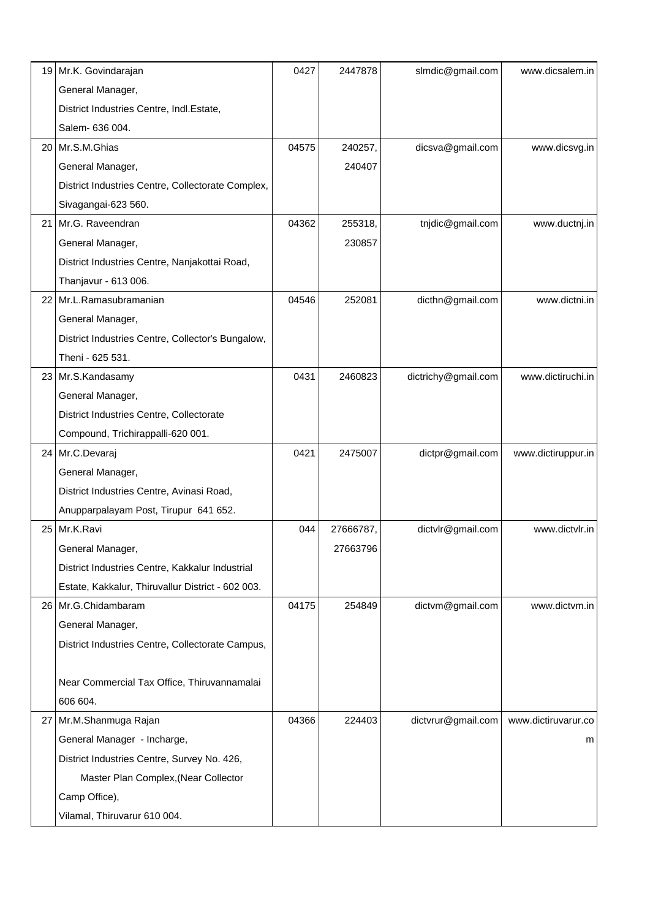|      | 19 Mr.K. Govindarajan                             | 0427  | 2447878   | slmdic@gmail.com    | www.dicsalem.in     |
|------|---------------------------------------------------|-------|-----------|---------------------|---------------------|
|      | General Manager,                                  |       |           |                     |                     |
|      | District Industries Centre, Indl.Estate,          |       |           |                     |                     |
|      | Salem- 636 004.                                   |       |           |                     |                     |
|      | 20 Mr.S.M.Ghias                                   | 04575 | 240257,   | dicsva@gmail.com    | www.dicsvg.in       |
|      | General Manager,                                  |       | 240407    |                     |                     |
|      | District Industries Centre, Collectorate Complex, |       |           |                     |                     |
|      | Sivagangai-623 560.                               |       |           |                     |                     |
| 21 I | Mr.G. Raveendran                                  | 04362 | 255318,   | tnjdic@gmail.com    | www.ductnj.in       |
|      | General Manager,                                  |       | 230857    |                     |                     |
|      | District Industries Centre, Nanjakottai Road,     |       |           |                     |                     |
|      | Thanjavur - 613 006.                              |       |           |                     |                     |
| 22 I | Mr.L.Ramasubramanian                              | 04546 | 252081    | dicthn@gmail.com    | www.dictni.in       |
|      | General Manager,                                  |       |           |                     |                     |
|      | District Industries Centre, Collector's Bungalow, |       |           |                     |                     |
|      | Theni - 625 531.                                  |       |           |                     |                     |
|      | 23 Mr.S.Kandasamy                                 | 0431  | 2460823   | dictrichy@gmail.com | www.dictiruchi.in   |
|      | General Manager,                                  |       |           |                     |                     |
|      | District Industries Centre, Collectorate          |       |           |                     |                     |
|      | Compound, Trichirappalli-620 001.                 |       |           |                     |                     |
|      | 24 Mr.C.Devaraj                                   | 0421  | 2475007   | dictpr@gmail.com    | www.dictiruppur.in  |
|      | General Manager,                                  |       |           |                     |                     |
|      | District Industries Centre, Avinasi Road,         |       |           |                     |                     |
|      | Anupparpalayam Post, Tirupur 641 652.             |       |           |                     |                     |
|      | 25 Mr.K.Ravi                                      | 044   | 27666787, | dictvlr@gmail.com   | www.dictvlr.in      |
|      | General Manager,                                  |       | 27663796  |                     |                     |
|      | District Industries Centre, Kakkalur Industrial   |       |           |                     |                     |
|      | Estate, Kakkalur, Thiruvallur District - 602 003. |       |           |                     |                     |
|      | 26   Mr.G.Chidambaram                             | 04175 | 254849    | dictvm@gmail.com    | www.dictym.in       |
|      | General Manager,                                  |       |           |                     |                     |
|      | District Industries Centre, Collectorate Campus,  |       |           |                     |                     |
|      |                                                   |       |           |                     |                     |
|      | Near Commercial Tax Office, Thiruvannamalai       |       |           |                     |                     |
|      | 606 604.                                          |       |           |                     |                     |
| 27   | Mr.M.Shanmuga Rajan                               | 04366 | 224403    | dictvrur@gmail.com  | www.dictiruvarur.co |
|      | General Manager - Incharge,                       |       |           |                     | m                   |
|      | District Industries Centre, Survey No. 426,       |       |           |                     |                     |
|      | Master Plan Complex, (Near Collector              |       |           |                     |                     |
|      | Camp Office),                                     |       |           |                     |                     |
|      | Vilamal, Thiruvarur 610 004.                      |       |           |                     |                     |